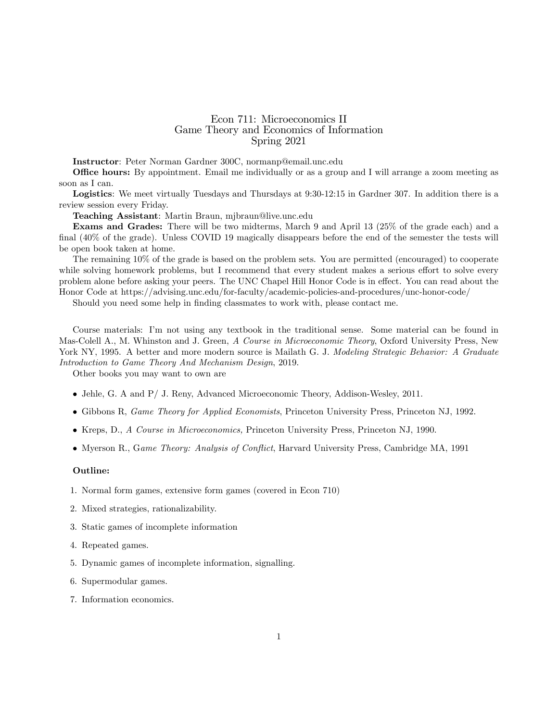## Econ 711: Microeconomics II Game Theory and Economics of Information Spring 2021

Instructor: Peter Norman Gardner 300C, normanp@email.unc.edu

**Office hours:** By appointment. Email me individually or as a group and I will arrange a zoom meeting as soon as I can.

Logistics: We meet virtually Tuesdays and Thursdays at 9:30-12:15 in Gardner 307. In addition there is a review session every Friday.

Teaching Assistant: Martin Braun, mjbraun@live.unc.edu

Exams and Grades: There will be two midterms, March 9 and April 13 (25% of the grade each) and a final  $(40\%$  of the grade). Unless COVID 19 magically disappears before the end of the semester the tests will be open book taken at home.

The remaining 10% of the grade is based on the problem sets. You are permitted (encouraged) to cooperate while solving homework problems, but I recommend that every student makes a serious effort to solve every problem alone before asking your peers. The UNC Chapel Hill Honor Code is in effect. You can read about the Honor Code at https://advising.unc.edu/for-faculty/academic-policies-and-procedures/unc-honor-code/

Should you need some help in finding classmates to work with, please contact me.

Course materials: Iím not using any textbook in the traditional sense. Some material can be found in Mas-Colell A., M. Whinston and J. Green, A Course in Microeconomic Theory, Oxford University Press, New York NY, 1995. A better and more modern source is Mailath G. J. Modeling Strategic Behavior: A Graduate Introduction to Game Theory And Mechanism Design, 2019.

Other books you may want to own are

- Jehle, G. A and P/ J. Reny, Advanced Microeconomic Theory, Addison-Wesley, 2011.
- Gibbons R, Game Theory for Applied Economists, Princeton University Press, Princeton NJ, 1992.
- Kreps, D., A Course in Microeconomics, Princeton University Press, Princeton NJ, 1990.
- Myerson R., Game Theory: Analysis of Conflict, Harvard University Press, Cambridge MA, 1991

## Outline:

- 1. Normal form games, extensive form games (covered in Econ 710)
- 2. Mixed strategies, rationalizability.
- 3. Static games of incomplete information
- 4. Repeated games.
- 5. Dynamic games of incomplete information, signalling.
- 6. Supermodular games.
- 7. Information economics.